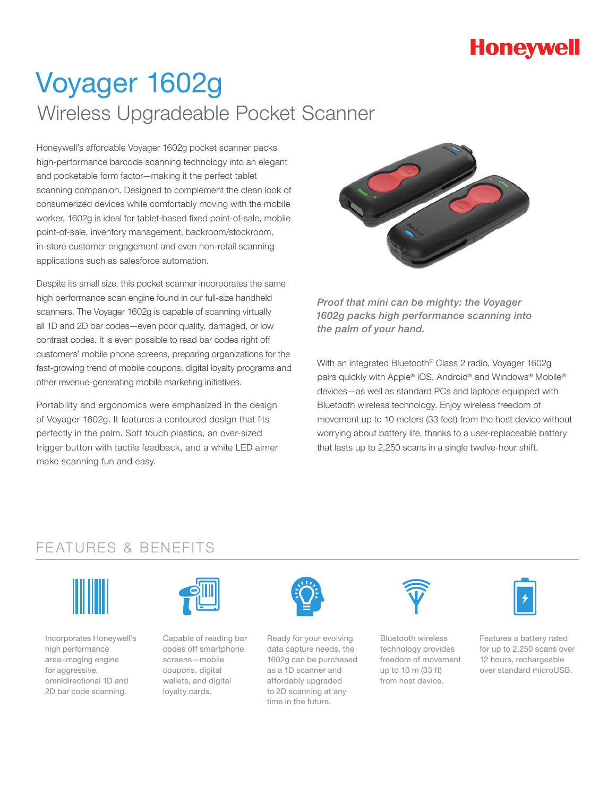# **Honeywell**

# Voyager 1602g Wireless Upgradeable Pocket Scanner

Honeywell's affordable Voyager 1602g pocket scanner packs high-performance barcode scanning technology into an elegant and pocketable form factor—making it the perfect tablet scanning companion. Designed to complement the clean look of consumerized devices while comfortably moving with the mobile worker, 1602g is ideal for tablet-based fixed point-of-sale, mobile point-of-sale, inventory management, backroom/stockroom, in-store customer engagement and even non-retail scanning applications such as salesforce automation.

Despite its small size, this pocket scanner incorporates the same high performance scan engine found in our full-size handheld scanners. The Voyager 1602g is capable of scanning virtually all 1D and 2D bar codes—even poor quality, damaged, or low contrast codes. It is even possible to read bar codes right off customers' mobile phone screens, preparing organizations for the fast-growing trend of mobile coupons, digital loyalty programs and other revenue-generating mobile marketing initiatives.

Portability and ergonomics were emphasized in the design of Voyager 1602g. It features a contoured design that fits perfectly in the palm. Soft touch plastics, an over-sized trigger button with tactile feedback, and a white LED aimer make scanning fun and easy.



*Proof that mini can be mighty: the Voyager 1602g packs high performance scanning into the palm of your hand.* 

With an integrated Bluetooth® Class 2 radio, Voyager 1602g pairs quickly with Apple® iOS, Android® and Windows® Mobile® devices—as well as standard PCs and laptops equipped with Bluetooth wireless technology. Enjoy wireless freedom of movement up to 10 meters (33 feet) from the host device without worrying about battery life, thanks to a user-replaceable battery that lasts up to 2,250 scans in a single twelve-hour shift.

### FEATURES & BENEFITS



Incorporates Honeywell's high performance area-imaging engine for aggressive, omnidirectional 1D and 2D bar code scanning.



Capable of reading bar codes off smartphone screens—mobile coupons, digital wallets, and digital loyalty cards.



Ready for your evolving data capture needs, the 1602g can be purchased as a 1D scanner and affordably upgraded to 2D scanning at any time in the future.



Bluetooth wireless technology provides freedom of movement up to 10 m (33 ft) from host device.



Features a battery rated for up to 2,250 scans over 12 hours, rechargeable over standard microUSB.